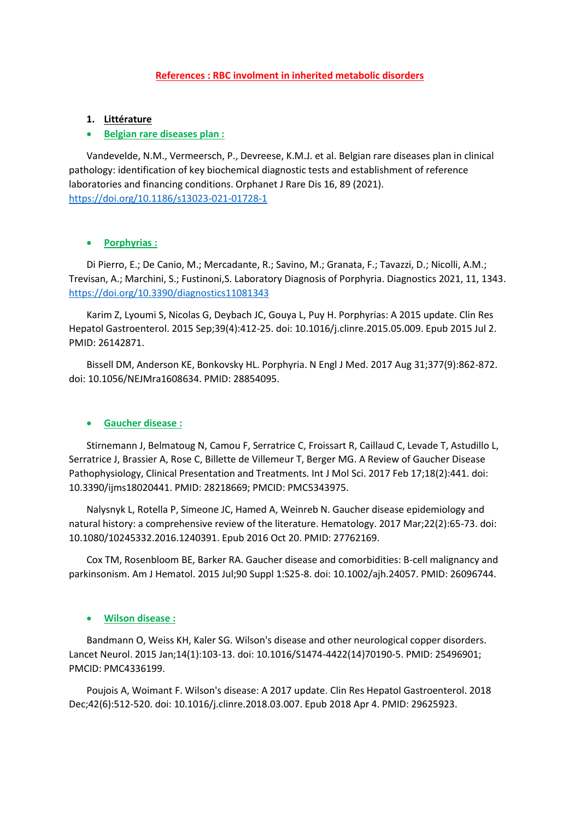## **References : RBC involment in inherited metabolic disorders**

## **1. Littérature**

### **Belgian rare diseases plan :**

Vandevelde, N.M., Vermeersch, P., Devreese, K.M.J. et al. Belgian rare diseases plan in clinical pathology: identification of key biochemical diagnostic tests and establishment of reference laboratories and financing conditions. Orphanet J Rare Dis 16, 89 (2021). <https://doi.org/10.1186/s13023-021-01728-1>

### **Porphyrias :**

Di Pierro, E.; De Canio, M.; Mercadante, R.; Savino, M.; Granata, F.; Tavazzi, D.; Nicolli, A.M.; Trevisan, A.; Marchini, S.; Fustinoni,S. Laboratory Diagnosis of Porphyria. Diagnostics 2021, 11, 1343. <https://doi.org/10.3390/diagnostics11081343>

Karim Z, Lyoumi S, Nicolas G, Deybach JC, Gouya L, Puy H. Porphyrias: A 2015 update. Clin Res Hepatol Gastroenterol. 2015 Sep;39(4):412-25. doi: 10.1016/j.clinre.2015.05.009. Epub 2015 Jul 2. PMID: 26142871.

Bissell DM, Anderson KE, Bonkovsky HL. Porphyria. N Engl J Med. 2017 Aug 31;377(9):862-872. doi: 10.1056/NEJMra1608634. PMID: 28854095.

#### **Gaucher disease :**

Stirnemann J, Belmatoug N, Camou F, Serratrice C, Froissart R, Caillaud C, Levade T, Astudillo L, Serratrice J, Brassier A, Rose C, Billette de Villemeur T, Berger MG. A Review of Gaucher Disease Pathophysiology, Clinical Presentation and Treatments. Int J Mol Sci. 2017 Feb 17;18(2):441. doi: 10.3390/ijms18020441. PMID: 28218669; PMCID: PMC5343975.

Nalysnyk L, Rotella P, Simeone JC, Hamed A, Weinreb N. Gaucher disease epidemiology and natural history: a comprehensive review of the literature. Hematology. 2017 Mar;22(2):65-73. doi: 10.1080/10245332.2016.1240391. Epub 2016 Oct 20. PMID: 27762169.

Cox TM, Rosenbloom BE, Barker RA. Gaucher disease and comorbidities: B-cell malignancy and parkinsonism. Am J Hematol. 2015 Jul;90 Suppl 1:S25-8. doi: 10.1002/ajh.24057. PMID: 26096744.

### **Wilson disease :**

Bandmann O, Weiss KH, Kaler SG. Wilson's disease and other neurological copper disorders. Lancet Neurol. 2015 Jan;14(1):103-13. doi: 10.1016/S1474-4422(14)70190-5. PMID: 25496901; PMCID: PMC4336199.

Poujois A, Woimant F. Wilson's disease: A 2017 update. Clin Res Hepatol Gastroenterol. 2018 Dec;42(6):512-520. doi: 10.1016/j.clinre.2018.03.007. Epub 2018 Apr 4. PMID: 29625923.